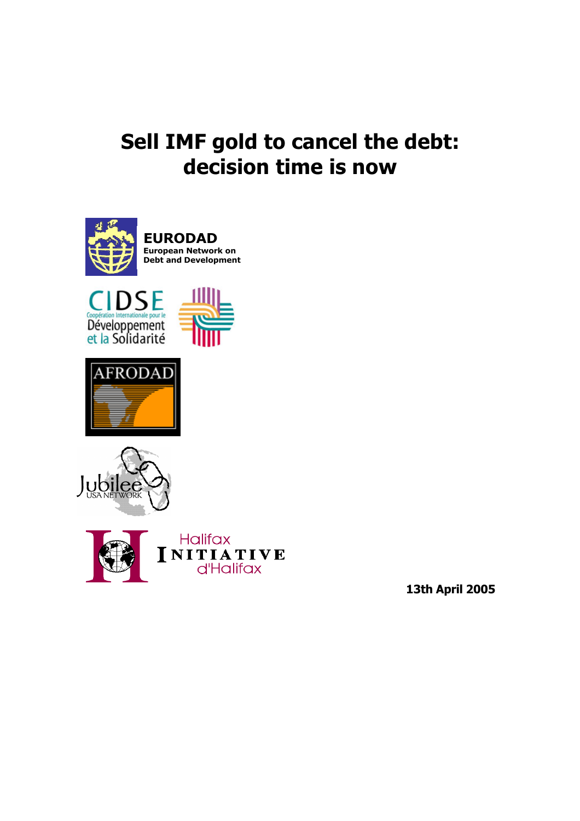# **Sell IMF gold to cancel the debt: decision time is now**











**13th April 2005**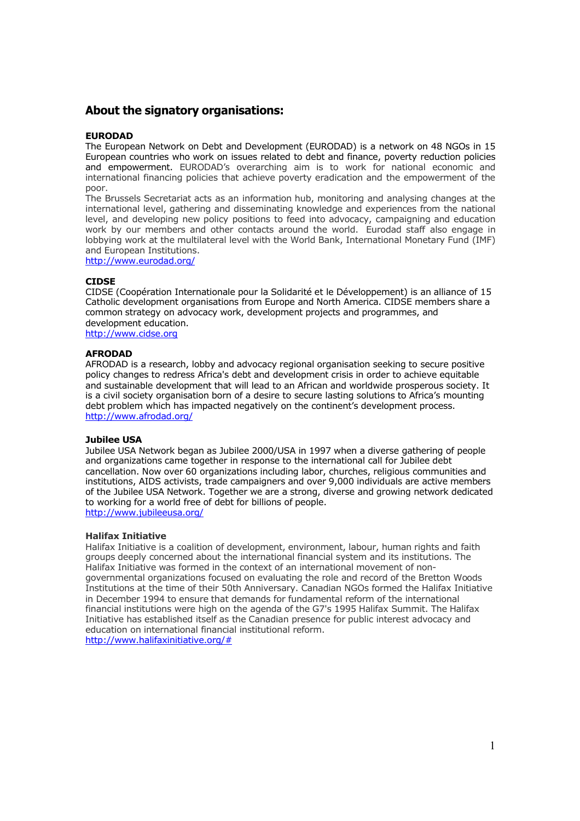## **About the signatory organisations:**

### **EURODAD**

The European Network on Debt and Development (EURODAD) is a network on 48 NGOs in 15 European countries who work on issues related to debt and finance, poverty reduction policies and empowerment. EURODAD's overarching aim is to work for national economic and international financing policies that achieve poverty eradication and the empowerment of the poor.

The Brussels Secretariat acts as an information hub, monitoring and analysing changes at the international level, gathering and disseminating knowledge and experiences from the national level, and developing new policy positions to feed into advocacy, campaigning and education work by our members and other contacts around the world. Eurodad staff also engage in lobbying work at the multilateral level with the World Bank, International Monetary Fund (IMF) and European Institutions.

http://www.eurodad.org/

#### **CIDSE**

CIDSE (Coopération Internationale pour la Solidarité et le Développement) is an alliance of 15 Catholic development organisations from Europe and North America. CIDSE members share a common strategy on advocacy work, development projects and programmes, and development education.

http://www.cidse.org

#### **AFRODAD**

AFRODAD is a research, lobby and advocacy regional organisation seeking to secure positive policy changes to redress Africa's debt and development crisis in order to achieve equitable and sustainable development that will lead to an African and worldwide prosperous society. It is a civil society organisation born of a desire to secure lasting solutions to Africa's mounting debt problem which has impacted negatively on the continent's development process. http://www.afrodad.org/

#### **Jubilee USA**

Jubilee USA Network began as Jubilee 2000/USA in 1997 when a diverse gathering of people and organizations came together in response to the international call for Jubilee debt cancellation. Now over 60 organizations including labor, churches, religious communities and institutions, AIDS activists, trade campaigners and over 9,000 individuals are active members of the Jubilee USA Network. Together we are a strong, diverse and growing network dedicated to working for a world free of debt for billions of people. http://www.jubileeusa.org/

#### **Halifax Initiative**

Halifax Initiative is a coalition of development, environment, labour, human rights and faith groups deeply concerned about the international financial system and its institutions. The Halifax Initiative was formed in the context of an international movement of nongovernmental organizations focused on evaluating the role and record of the Bretton Woods Institutions at the time of their 50th Anniversary. Canadian NGOs formed the Halifax Initiative in December 1994 to ensure that demands for fundamental reform of the international financial institutions were high on the agenda of the G7's 1995 Halifax Summit. The Halifax Initiative has established itself as the Canadian presence for public interest advocacy and education on international financial institutional reform. http://www.halifaxinitiative.org/#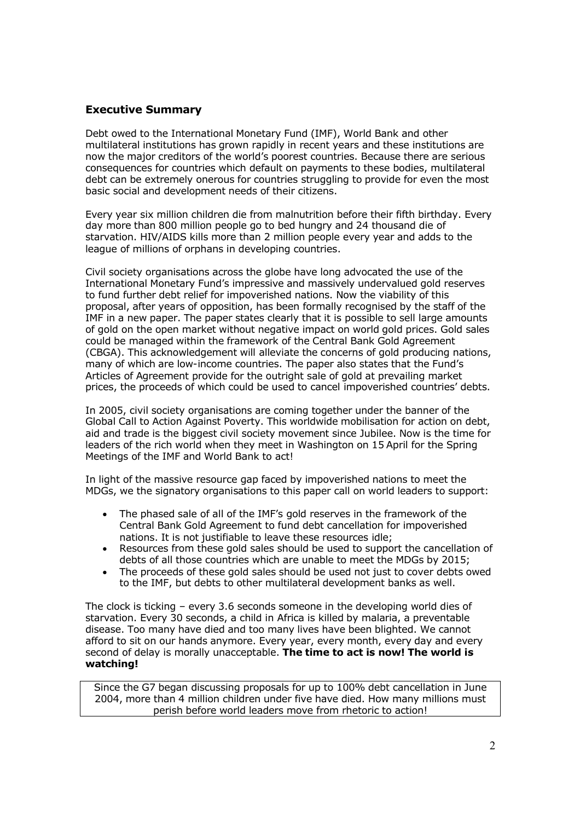# **Executive Summary**

Debt owed to the International Monetary Fund (IMF), World Bank and other multilateral institutions has grown rapidly in recent years and these institutions are now the major creditors of the world's poorest countries. Because there are serious consequences for countries which default on payments to these bodies, multilateral debt can be extremely onerous for countries struggling to provide for even the most basic social and development needs of their citizens.

Every year six million children die from malnutrition before their fifth birthday. Every day more than 800 million people go to bed hungry and 24 thousand die of starvation. HIV/AIDS kills more than 2 million people every year and adds to the league of millions of orphans in developing countries.

Civil society organisations across the globe have long advocated the use of the International Monetary Fund's impressive and massively undervalued gold reserves to fund further debt relief for impoverished nations. Now the viability of this proposal, after years of opposition, has been formally recognised by the staff of the IMF in a new paper. The paper states clearly that it is possible to sell large amounts of gold on the open market without negative impact on world gold prices. Gold sales could be managed within the framework of the Central Bank Gold Agreement (CBGA). This acknowledgement will alleviate the concerns of gold producing nations, many of which are low-income countries. The paper also states that the Fund's Articles of Agreement provide for the outright sale of gold at prevailing market prices, the proceeds of which could be used to cancel impoverished countries' debts.

In 2005, civil society organisations are coming together under the banner of the Global Call to Action Against Poverty. This worldwide mobilisation for action on debt, aid and trade is the biggest civil society movement since Jubilee. Now is the time for leaders of the rich world when they meet in Washington on 15 April for the Spring Meetings of the IMF and World Bank to act!

In light of the massive resource gap faced by impoverished nations to meet the MDGs, we the signatory organisations to this paper call on world leaders to support:

- The phased sale of all of the IMF's gold reserves in the framework of the Central Bank Gold Agreement to fund debt cancellation for impoverished nations. It is not justifiable to leave these resources idle;
- Resources from these gold sales should be used to support the cancellation of debts of all those countries which are unable to meet the MDGs by 2015;
- The proceeds of these gold sales should be used not just to cover debts owed to the IMF, but debts to other multilateral development banks as well.

The clock is ticking – every 3.6 seconds someone in the developing world dies of starvation. Every 30 seconds, a child in Africa is killed by malaria, a preventable disease. Too many have died and too many lives have been blighted. We cannot afford to sit on our hands anymore. Every year, every month, every day and every second of delay is morally unacceptable. **The time to act is now! The world is watching!**

Since the G7 began discussing proposals for up to 100% debt cancellation in June 2004, more than 4 million children under five have died. How many millions must perish before world leaders move from rhetoric to action!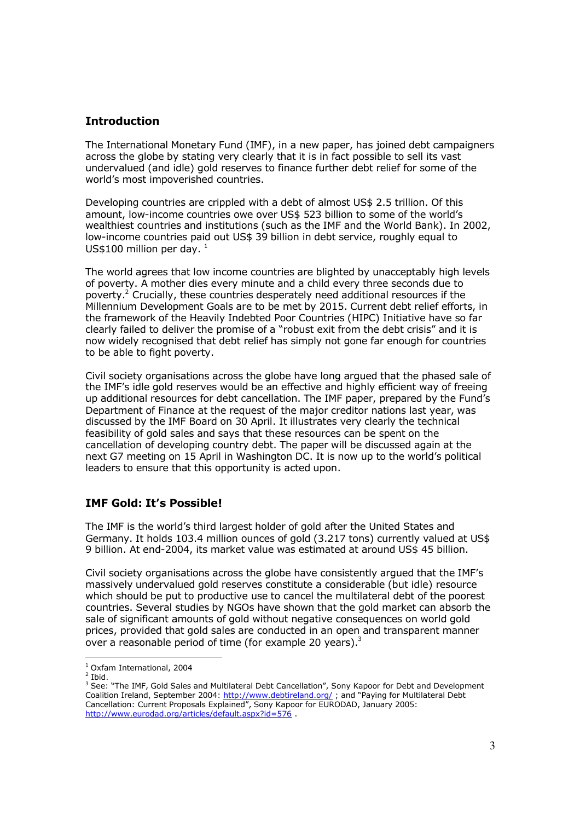## **Introduction**

The International Monetary Fund (IMF), in a new paper, has joined debt campaigners across the globe by stating very clearly that it is in fact possible to sell its vast undervalued (and idle) gold reserves to finance further debt relief for some of the world's most impoverished countries.

Developing countries are crippled with a debt of almost US\$ 2.5 trillion. Of this amount, low-income countries owe over US\$ 523 billion to some of the world's wealthiest countries and institutions (such as the IMF and the World Bank). In 2002, low-income countries paid out US\$ 39 billion in debt service, roughly equal to US\$100 million per day.  $1$ 

The world agrees that low income countries are blighted by unacceptably high levels of poverty. A mother dies every minute and a child every three seconds due to poverty.<sup>2</sup> Crucially, these countries desperately need additional resources if the Millennium Development Goals are to be met by 2015. Current debt relief efforts, in the framework of the Heavily Indebted Poor Countries (HIPC) Initiative have so far clearly failed to deliver the promise of a "robust exit from the debt crisis" and it is now widely recognised that debt relief has simply not gone far enough for countries to be able to fight poverty.

Civil society organisations across the globe have long argued that the phased sale of the IMF's idle gold reserves would be an effective and highly efficient way of freeing up additional resources for debt cancellation. The IMF paper, prepared by the Fund's Department of Finance at the request of the major creditor nations last year, was discussed by the IMF Board on 30 April. It illustrates very clearly the technical feasibility of gold sales and says that these resources can be spent on the cancellation of developing country debt. The paper will be discussed again at the next G7 meeting on 15 April in Washington DC. It is now up to the world's political leaders to ensure that this opportunity is acted upon.

# **IMF Gold: It's Possible!**

The IMF is the world's third largest holder of gold after the United States and Germany. It holds 103.4 million ounces of gold (3.217 tons) currently valued at US\$ 9 billion. At end-2004, its market value was estimated at around US\$ 45 billion.

Civil society organisations across the globe have consistently argued that the IMF's massively undervalued gold reserves constitute a considerable (but idle) resource which should be put to productive use to cancel the multilateral debt of the poorest countries. Several studies by NGOs have shown that the gold market can absorb the sale of significant amounts of gold without negative consequences on world gold prices, provided that gold sales are conducted in an open and transparent manner over a reasonable period of time (for example 20 years).<sup>3</sup>

<sup>1</sup> Oxfam International, 2004

 $<sup>2</sup>$  Ibid.</sup>

<sup>&</sup>lt;sup>3</sup> See: "The IMF, Gold Sales and Multilateral Debt Cancellation", Sony Kapoor for Debt and Development Coalition Ireland, September 2004: http://www.debtireland.org/ ; and "Paying for Multilateral Debt Cancellation: Current Proposals Explained", Sony Kapoor for EURODAD, January 2005: http://www.eurodad.org/articles/default.aspx?id=576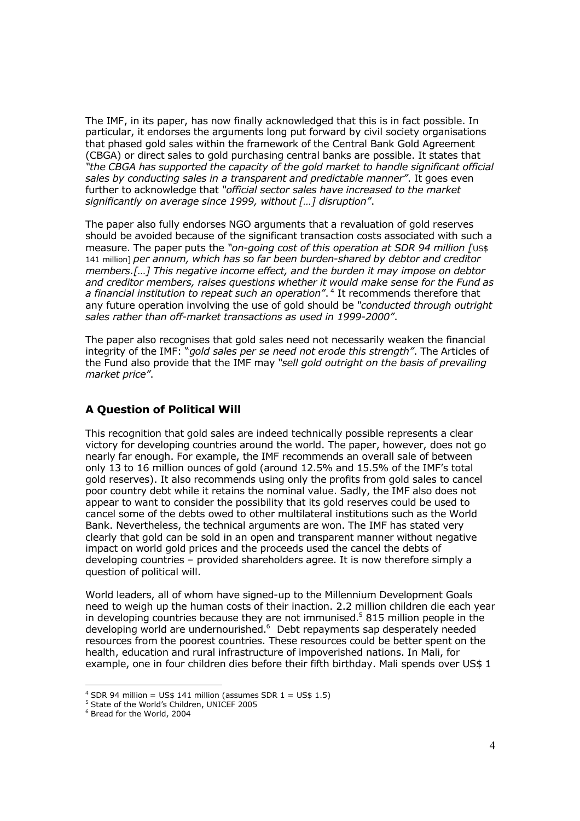The IMF, in its paper, has now finally acknowledged that this is in fact possible. In particular, it endorses the arguments long put forward by civil society organisations that phased gold sales within the framework of the Central Bank Gold Agreement (CBGA) or direct sales to gold purchasing central banks are possible. It states that *"the CBGA has supported the capacity of the gold market to handle significant official sales by conducting sales in a transparent and predictable manner"*. It goes even further to acknowledge that *"official sector sales have increased to the market significantly on average since 1999, without […] disruption"*.

The paper also fully endorses NGO arguments that a revaluation of gold reserves should be avoided because of the significant transaction costs associated with such a measure. The paper puts the *"on-going cost of this operation at SDR 94 million [*US\$ 141 million] *per annum, which has so far been burden-shared by debtor and creditor members.[…] This negative income effect, and the burden it may impose on debtor and creditor members, raises questions whether it would make sense for the Fund as a financial institution to repeat such an operation"*. 4 It recommends therefore that any future operation involving the use of gold should be *"conducted through outright sales rather than off-market transactions as used in 1999-2000"*.

The paper also recognises that gold sales need not necessarily weaken the financial integrity of the IMF: "*gold sales per se need not erode this strength"*. The Articles of the Fund also provide that the IMF may *"sell gold outright on the basis of prevailing market price"*.

# **A Question of Political Will**

This recognition that gold sales are indeed technically possible represents a clear victory for developing countries around the world. The paper, however, does not go nearly far enough. For example, the IMF recommends an overall sale of between only 13 to 16 million ounces of gold (around 12.5% and 15.5% of the IMF's total gold reserves). It also recommends using only the profits from gold sales to cancel poor country debt while it retains the nominal value. Sadly, the IMF also does not appear to want to consider the possibility that its gold reserves could be used to cancel some of the debts owed to other multilateral institutions such as the World Bank. Nevertheless, the technical arguments are won. The IMF has stated very clearly that gold can be sold in an open and transparent manner without negative impact on world gold prices and the proceeds used the cancel the debts of developing countries – provided shareholders agree. It is now therefore simply a question of political will.

World leaders, all of whom have signed-up to the Millennium Development Goals need to weigh up the human costs of their inaction. 2.2 million children die each year in developing countries because they are not immunised.<sup>5</sup> 815 million people in the developing world are undernourished.<sup>6</sup> Debt repayments sap desperately needed resources from the poorest countries. These resources could be better spent on the health, education and rural infrastructure of impoverished nations. In Mali, for example, one in four children dies before their fifth birthday. Mali spends over US\$ 1

 $4$  SDR 94 million = US\$ 141 million (assumes SDR  $1 =$  US\$ 1.5)

<sup>&</sup>lt;sup>5</sup> State of the World's Children, UNICEF 2005

<sup>6</sup> Bread for the World, 2004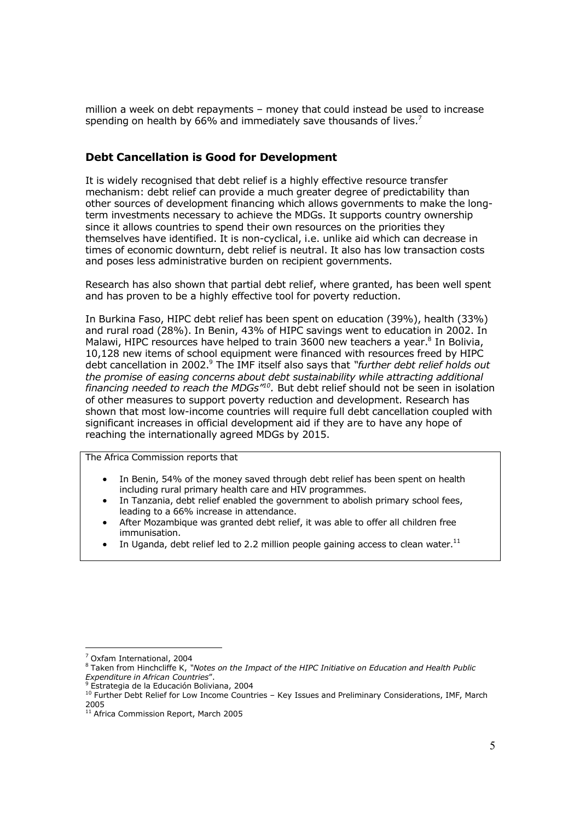million a week on debt repayments – money that could instead be used to increase spending on health by 66% and immediately save thousands of lives.<sup>7</sup>

# **Debt Cancellation is Good for Development**

It is widely recognised that debt relief is a highly effective resource transfer mechanism: debt relief can provide a much greater degree of predictability than other sources of development financing which allows governments to make the longterm investments necessary to achieve the MDGs. It supports country ownership since it allows countries to spend their own resources on the priorities they themselves have identified. It is non-cyclical, i.e. unlike aid which can decrease in times of economic downturn, debt relief is neutral. It also has low transaction costs and poses less administrative burden on recipient governments.

Research has also shown that partial debt relief, where granted, has been well spent and has proven to be a highly effective tool for poverty reduction.

In Burkina Faso, HIPC debt relief has been spent on education (39%), health (33%) and rural road (28%). In Benin, 43% of HIPC savings went to education in 2002. In Malawi, HIPC resources have helped to train 3600 new teachers a year.<sup>8</sup> In Bolivia, 10,128 new items of school equipment were financed with resources freed by HIPC debt cancellation in 2002.<sup>9</sup> The IMF itself also says that *"further debt relief holds out the promise of easing concerns about debt sustainability while attracting additional financing needed to reach the MDGs"<sup>10</sup> .* But debt relief should not be seen in isolation of other measures to support poverty reduction and development. Research has shown that most low-income countries will require full debt cancellation coupled with significant increases in official development aid if they are to have any hope of reaching the internationally agreed MDGs by 2015.

The Africa Commission reports that

- In Benin, 54% of the money saved through debt relief has been spent on health including rural primary health care and HIV programmes.
- In Tanzania, debt relief enabled the government to abolish primary school fees, leading to a 66% increase in attendance.
- After Mozambique was granted debt relief, it was able to offer all children free immunisation.
- In Uganda, debt relief led to 2.2 million people gaining access to clean water.<sup>11</sup>

<sup>7</sup> Oxfam International, 2004

<sup>8</sup> Taken from Hinchcliffe K, *"Notes on the Impact of the HIPC Initiative on Education and Health Public Expenditure in African Countries*".

Bestrategia de la Educación Boliviana, 2004

<sup>&</sup>lt;sup>10</sup> Further Debt Relief for Low Income Countries - Key Issues and Preliminary Considerations, IMF, March 2005

<sup>11</sup> Africa Commission Report, March 2005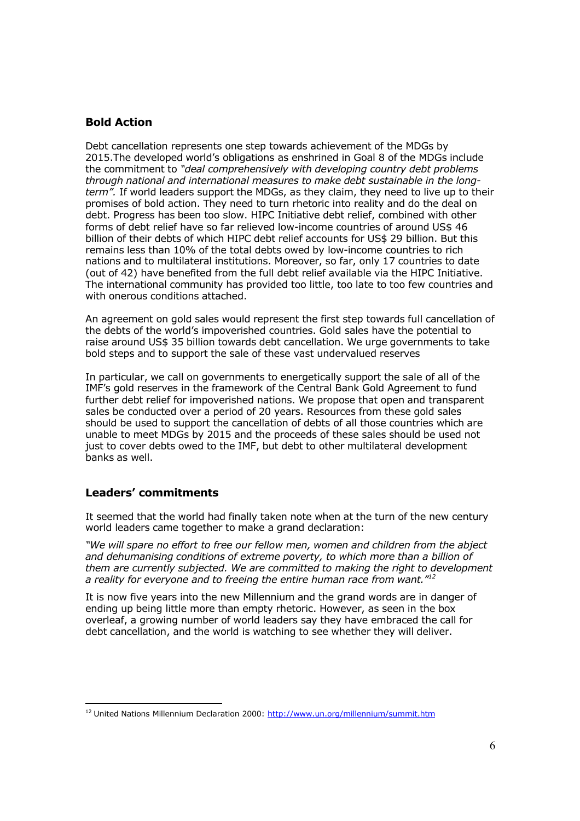# **Bold Action**

Debt cancellation represents one step towards achievement of the MDGs by 2015.The developed world's obligations as enshrined in Goal 8 of the MDGs include the commitment to *"deal comprehensively with developing country debt problems through national and international measures to make debt sustainable in the longterm".* If world leaders support the MDGs, as they claim, they need to live up to their promises of bold action. They need to turn rhetoric into reality and do the deal on debt. Progress has been too slow. HIPC Initiative debt relief, combined with other forms of debt relief have so far relieved low-income countries of around US\$ 46 billion of their debts of which HIPC debt relief accounts for US\$ 29 billion. But this remains less than 10% of the total debts owed by low-income countries to rich nations and to multilateral institutions. Moreover, so far, only 17 countries to date (out of 42) have benefited from the full debt relief available via the HIPC Initiative. The international community has provided too little, too late to too few countries and with onerous conditions attached.

An agreement on gold sales would represent the first step towards full cancellation of the debts of the world's impoverished countries. Gold sales have the potential to raise around US\$ 35 billion towards debt cancellation. We urge governments to take bold steps and to support the sale of these vast undervalued reserves

In particular, we call on governments to energetically support the sale of all of the IMF's gold reserves in the framework of the Central Bank Gold Agreement to fund further debt relief for impoverished nations. We propose that open and transparent sales be conducted over a period of 20 years. Resources from these gold sales should be used to support the cancellation of debts of all those countries which are unable to meet MDGs by 2015 and the proceeds of these sales should be used not just to cover debts owed to the IMF, but debt to other multilateral development banks as well.

## **Leaders' commitments**

It seemed that the world had finally taken note when at the turn of the new century world leaders came together to make a grand declaration:

*"We will spare no effort to free our fellow men, women and children from the abject and dehumanising conditions of extreme poverty, to which more than a billion of them are currently subjected. We are committed to making the right to development a reality for everyone and to freeing the entire human race from want."<sup>12</sup>*

It is now five years into the new Millennium and the grand words are in danger of ending up being little more than empty rhetoric. However, as seen in the box overleaf, a growing number of world leaders say they have embraced the call for debt cancellation, and the world is watching to see whether they will deliver.

<sup>&</sup>lt;sup>12</sup> United Nations Millennium Declaration 2000: http://www.un.org/millennium/summit.htm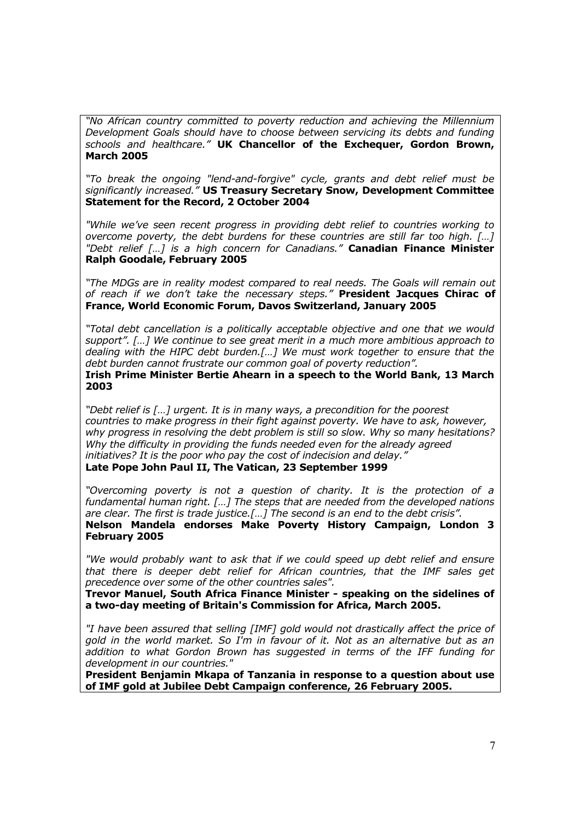*"No African country committed to poverty reduction and achieving the Millennium Development Goals should have to choose between servicing its debts and funding schools and healthcare."* **UK Chancellor of the Exchequer, Gordon Brown, March 2005**

*"To break the ongoing "lend-and-forgive" cycle, grants and debt relief must be significantly increased."* **US Treasury Secretary Snow, Development Committee Statement for the Record, 2 October 2004**

*"While we've seen recent progress in providing debt relief to countries working to overcome poverty, the debt burdens for these countries are still far too high. […] "Debt relief […] is a high concern for Canadians."* **Canadian Finance Minister Ralph Goodale, February 2005**

*"The MDGs are in reality modest compared to real needs. The Goals will remain out of reach if we don't take the necessary steps."* **President Jacques Chirac of France, World Economic Forum, Davos Switzerland, January 2005**

*"Total debt cancellation is a politically acceptable objective and one that we would support". […] We continue to see great merit in a much more ambitious approach to dealing with the HIPC debt burden.[…] We must work together to ensure that the debt burden cannot frustrate our common goal of poverty reduction".*

**Irish Prime Minister Bertie Ahearn in a speech to the World Bank, 13 March 2003**

*"Debt relief is […] urgent. It is in many ways, a precondition for the poorest countries to make progress in their fight against poverty. We have to ask, however, why progress in resolving the debt problem is still so slow. Why so many hesitations? Why the difficulty in providing the funds needed even for the already agreed initiatives? It is the poor who pay the cost of indecision and delay."* **Late Pope John Paul II, The Vatican, 23 September 1999**

*"Overcoming poverty is not a question of charity. It is the protection of a fundamental human right. […] The steps that are needed from the developed nations are clear. The first is trade justice.[…] The second is an end to the debt crisis".*

**Nelson Mandela endorses Make Poverty History Campaign, London 3 February 2005**

*"We would probably want to ask that if we could speed up debt relief and ensure that there is deeper debt relief for African countries, that the IMF sales get precedence over some of the other countries sales".*

**Trevor Manuel, South Africa Finance Minister - speaking on the sidelines of a two-day meeting of Britain's Commission for Africa, March 2005.** 

*"I have been assured that selling [IMF] gold would not drastically affect the price of gold in the world market. So I'm in favour of it. Not as an alternative but as an addition to what Gordon Brown has suggested in terms of the IFF funding for development in our countries."*

**President Benjamin Mkapa of Tanzania in response to a question about use of IMF gold at Jubilee Debt Campaign conference, 26 February 2005.**